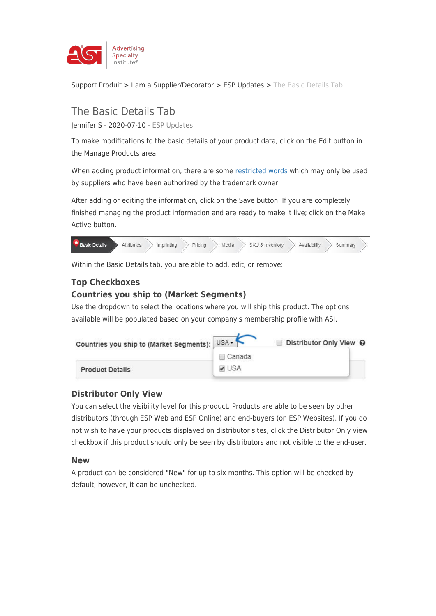

[Support Produit](https://kb.asicentral.com/fr/kb) > [I am a Supplier/Decorator](https://kb.asicentral.com/fr/kb/i-am-a-supplier-decorator) > [ESP Updates](https://kb.asicentral.com/fr/kb/esp-updates) > [The Basic Details Tab](https://kb.asicentral.com/fr/kb/articles/the-basic-details-tab)

# The Basic Details Tab

Jennifer S - 2020-07-10 - [ESP Updates](https://kb.asicentral.com/fr/kb/esp-updates)

To make modifications to the basic details of your product data, click on the Edit button in the Manage Products area.

When adding product information, there are some [restricted words](http://support.asicentral.com/knowledgebase/RestrictedWords.pdf) which may only be used by suppliers who have been authorized by the trademark owner.

After adding or editing the information, click on the Save button. If you are completely finished managing the product information and are ready to make it live; click on the Make Active button.



Within the Basic Details tab, you are able to add, edit, or remove:

### **Top Checkboxes**

#### **Countries you ship to (Market Segments)**

Use the dropdown to select the locations where you will ship this product. The options available will be populated based on your company's membership profile with ASI.

| Countries you ship to (Market Segments): USA |        | Distributor Only View <sup>©</sup> |
|----------------------------------------------|--------|------------------------------------|
|                                              | Canada |                                    |
| <b>Product Details</b>                       | ✔ USA  |                                    |

#### **Distributor Only View**

You can select the visibility level for this product. Products are able to be seen by other distributors (through ESP Web and ESP Online) and end-buyers (on ESP Websites). If you do not wish to have your products displayed on distributor sites, click the Distributor Only view checkbox if this product should only be seen by distributors and not visible to the end-user.

#### **New**

A product can be considered "New" for up to six months. This option will be checked by default, however, it can be unchecked.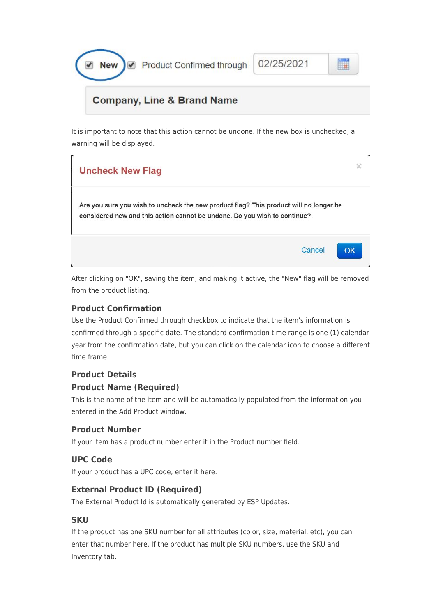Product Confirmed through

02/25/2021

# **Company, Line & Brand Name**

It is important to note that this action cannot be undone. If the new box is unchecked, a warning will be displayed.



After clicking on "OK", saving the item, and making it active, the "New" flag will be removed from the product listing.

#### **Product Confirmation**

V New

Use the Product Confirmed through checkbox to indicate that the item's information is confirmed through a specific date. The standard confirmation time range is one (1) calendar year from the confirmation date, but you can click on the calendar icon to choose a different time frame.

## **Product Details Product Name (Required)**

This is the name of the item and will be automatically populated from the information you entered in the Add Product window.

## **Product Number**

If your item has a product number enter it in the Product number field.

#### **UPC Code**

If your product has a UPC code, enter it here.

## **External Product ID (Required)**

The External Product Id is automatically generated by ESP Updates.

#### **SKU**

If the product has one SKU number for all attributes (color, size, material, etc), you can enter that number here. If the product has multiple SKU numbers, use the SKU and Inventory tab.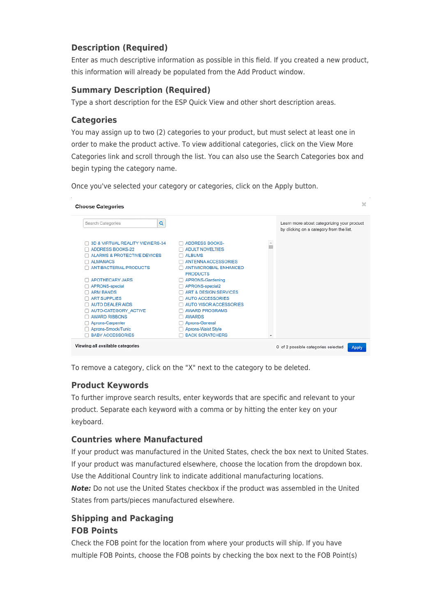## **Description (Required)**

Enter as much descriptive information as possible in this field. If you created a new product, this information will already be populated from the Add Product window.

## **Summary Description (Required)**

Type a short description for the ESP Quick View and other short description areas.

#### **Categories**

You may assign up to two (2) categories to your product, but must select at least one in order to make the product active. To view additional categories, click on the View More Categories link and scroll through the list. You can also use the Search Categories box and begin typing the category name.

 $\overline{a}$ 

Once you've selected your category or categories, click on the Apply button.

#### **Choose Categories**



To remove a category, click on the "X" next to the category to be deleted.

#### **Product Keywords**

To further improve search results, enter keywords that are specific and relevant to your product. Separate each keyword with a comma or by hitting the enter key on your keyboard.

#### **Countries where Manufactured**

If your product was manufactured in the United States, check the box next to United States. If your product was manufactured elsewhere, choose the location from the dropdown box. Use the Additional Country link to indicate additional manufacturing locations.

*Note:* Do not use the United States checkbox if the product was assembled in the United States from parts/pieces manufactured elsewhere.

## **Shipping and Packaging FOB Points**

Check the FOB point for the location from where your products will ship. If you have multiple FOB Points, choose the FOB points by checking the box next to the FOB Point(s)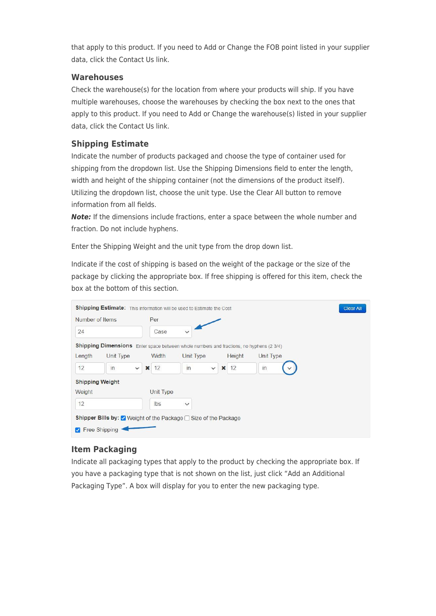that apply to this product. If you need to Add or Change the FOB point listed in your supplier data, click the Contact Us link.

#### **Warehouses**

Check the warehouse(s) for the location from where your products will ship. If you have multiple warehouses, choose the warehouses by checking the box next to the ones that apply to this product. If you need to Add or Change the warehouse(s) listed in your supplier data, click the Contact Us link.

#### **Shipping Estimate**

Indicate the number of products packaged and choose the type of container used for shipping from the dropdown list. Use the Shipping Dimensions field to enter the length, width and height of the shipping container (not the dimensions of the product itself). Utilizing the dropdown list, choose the unit type. Use the Clear All button to remove information from all fields.

*Note:* If the dimensions include fractions, enter a space between the whole number and fraction. Do not include hyphens.

Enter the Shipping Weight and the unit type from the drop down list.

Indicate if the cost of shipping is based on the weight of the package or the size of the package by clicking the appropriate box. If free shipping is offered for this item, check the box at the bottom of this section.

| <b>Shipping Estimate:</b> This information will be used to Estimate the Cost |                                                                   |                                                                                         | <b>Clear All</b> |
|------------------------------------------------------------------------------|-------------------------------------------------------------------|-----------------------------------------------------------------------------------------|------------------|
| Number of Items                                                              | Per                                                               |                                                                                         |                  |
| 24                                                                           | Case<br>$\checkmark$                                              |                                                                                         |                  |
|                                                                              |                                                                   | Shipping Dimensions Enter space between whole numbers and fractions, no hyphens (2 3/4) |                  |
| Length<br>Unit Type                                                          | Width<br>Unit Type                                                | Height<br>Unit Type                                                                     |                  |
| 12<br>in<br>$\checkmark$                                                     | $\overline{m}$<br>12<br>$\boldsymbol{\mathsf{x}}$<br>$\checkmark$ | 12<br>in<br>$\boldsymbol{\times}$                                                       |                  |
| <b>Shipping Weight</b>                                                       |                                                                   |                                                                                         |                  |
| Weight                                                                       | Unit Type                                                         |                                                                                         |                  |
| 12                                                                           | $\checkmark$<br>Ibs                                               |                                                                                         |                  |
| Shipper Bills by: Ø Weight of the Package □ Size of the Package              |                                                                   |                                                                                         |                  |
| <b>7</b> Free Shipping                                                       |                                                                   |                                                                                         |                  |

#### **Item Packaging**

Indicate all packaging types that apply to the product by checking the appropriate box. If you have a packaging type that is not shown on the list, just click "Add an Additional Packaging Type". A box will display for you to enter the new packaging type.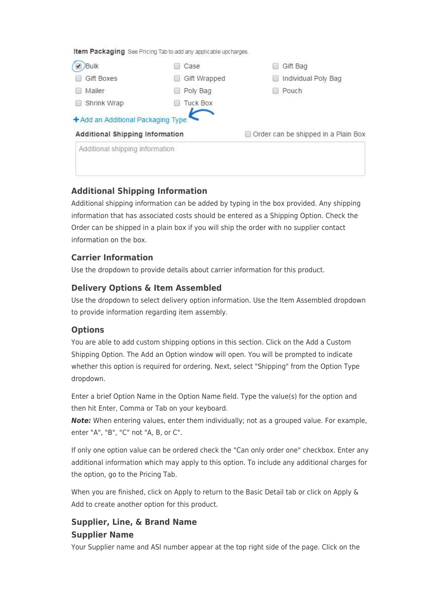Item Packaging See Pricing Tab to add any applicable upcharges.

| <b>Bulk</b><br>Case                    |                 | Gift Bag                            |  |
|----------------------------------------|-----------------|-------------------------------------|--|
| Gift Boxes                             | Gift Wrapped    | Individual Poly Bag                 |  |
| Mailer                                 | Poly Bag        | Pouch                               |  |
| Shrink Wrap                            | <b>Tuck Box</b> |                                     |  |
| + Add an Additional Packaging Type     |                 |                                     |  |
| <b>Additional Shipping Information</b> |                 | Order can be shipped in a Plain Box |  |
| Additional shipping information        |                 |                                     |  |
|                                        |                 |                                     |  |
|                                        |                 |                                     |  |

## **Additional Shipping Information**

Additional shipping information can be added by typing in the box provided. Any shipping information that has associated costs should be entered as a Shipping Option. Check the Order can be shipped in a plain box if you will ship the order with no supplier contact information on the box.

#### **Carrier Information**

Use the dropdown to provide details about carrier information for this product.

### **Delivery Options & Item Assembled**

Use the dropdown to select delivery option information. Use the Item Assembled dropdown to provide information regarding item assembly.

#### **Options**

You are able to add custom shipping options in this section. Click on the Add a Custom Shipping Option. The Add an Option window will open. You will be prompted to indicate whether this option is required for ordering. Next, select "Shipping" from the Option Type dropdown.

Enter a brief Option Name in the Option Name field. Type the value(s) for the option and then hit Enter, Comma or Tab on your keyboard.

*Note:* When entering values, enter them individually; not as a grouped value. For example, enter "A", "B", "C" not "A, B, or C".

If only one option value can be ordered check the "Can only order one" checkbox. Enter any additional information which may apply to this option. To include any additional charges for the option, go to the Pricing Tab.

When you are finished, click on Apply to return to the Basic Detail tab or click on Apply & Add to create another option for this product.

## **Supplier, Line, & Brand Name Supplier Name**

Your Supplier name and ASI number appear at the top right side of the page. Click on the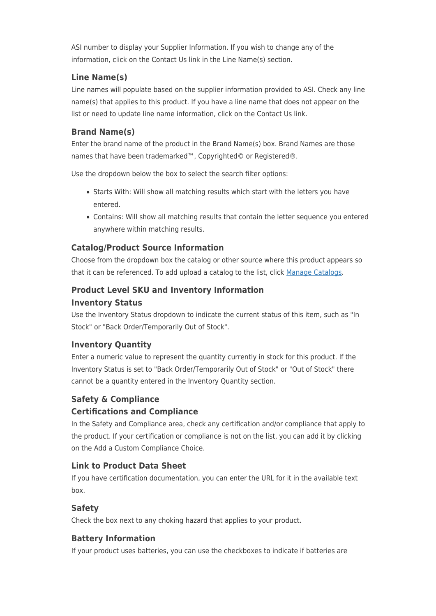ASI number to display your Supplier Information. If you wish to change any of the information, click on the Contact Us link in the Line Name(s) section.

## **Line Name(s)**

Line names will populate based on the supplier information provided to ASI. Check any line name(s) that applies to this product. If you have a line name that does not appear on the list or need to update line name information, click on the Contact Us link.

## **Brand Name(s)**

Enter the brand name of the product in the Brand Name(s) box. Brand Names are those names that have been trademarked™, Copyrighted© or Registered®.

Use the dropdown below the box to select the search filter options:

- Starts With: Will show all matching results which start with the letters you have entered.
- Contains: Will show all matching results that contain the letter sequence you entered anywhere within matching results.

## **Catalog/Product Source Information**

Choose from the dropdown box the catalog or other source where this product appears so that it can be referenced. To add upload a catalog to the list, click [Manage Catalogs.](https://kb.asicentral.com/kb/articles/1695)

# **Product Level SKU and Inventory Information**

#### **Inventory Status**

Use the Inventory Status dropdown to indicate the current status of this item, such as "In Stock" or "Back Order/Temporarily Out of Stock".

## **Inventory Quantity**

Enter a numeric value to represent the quantity currently in stock for this product. If the Inventory Status is set to "Back Order/Temporarily Out of Stock" or "Out of Stock" there cannot be a quantity entered in the Inventory Quantity section.

## **Safety & Compliance**

## **Certifications and Compliance**

In the Safety and Compliance area, check any certification and/or compliance that apply to the product. If your certification or compliance is not on the list, you can add it by clicking on the Add a Custom Compliance Choice.

## **Link to Product Data Sheet**

If you have certification documentation, you can enter the URL for it in the available text box.

## **Safety**

Check the box next to any choking hazard that applies to your product.

## **Battery Information**

If your product uses batteries, you can use the checkboxes to indicate if batteries are